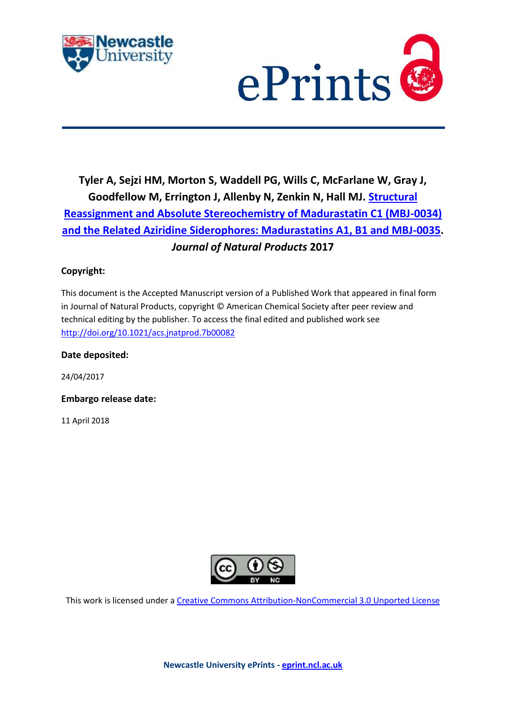



# **Tyler A, Sejzi HM, Morton S, Waddell PG, Wills C, McFarlane W, Gray J, Goodfellow M, Errington J, Allenby N, Zenkin N, Hall MJ. [Structural](https://myimpact.ncl.ac.uk/ViewPublication.aspx?id=231376)  [Reassignment and Absolute Stereochemistry of Madurastatin C1 \(MBJ-0034\)](https://myimpact.ncl.ac.uk/ViewPublication.aspx?id=231376)  [and the Related Aziridine Siderophores: Madurastatins A1, B1 and MBJ-0035.](https://myimpact.ncl.ac.uk/ViewPublication.aspx?id=231376)**  *Journal of Natural Products* **2017**

# **Copyright:**

This document is the Accepted Manuscript version of a Published Work that appeared in final form in Journal of Natural Products, copyright © American Chemical Society after peer review and technical editing by the publisher. To access the final edited and published work see <http://doi.org/10.1021/acs.jnatprod.7b00082>

**Date deposited:** 

24/04/2017

**Embargo release date:**

11 April 2018



This work is licensed under a [Creative Commons Attribution-NonCommercial 3.0 Unported License](http://creativecommons.org/licenses/by-nc/3.0/deed.en_GB)

**Newcastle University ePrints - [eprint.ncl.ac.uk](http://eprint.ncl.ac.uk/)**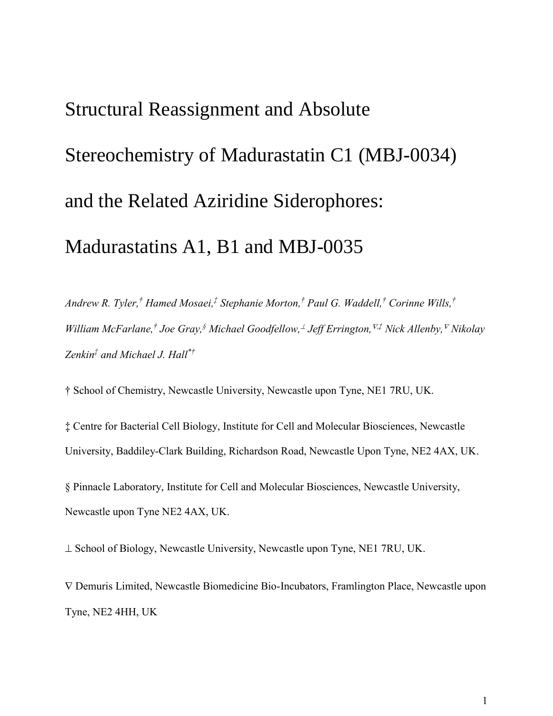# Structural Reassignment and Absolute Stereochemistry of Madurastatin C1 (MBJ-0034) and the Related Aziridine Siderophores: Madurastatins A1, B1 and MBJ-0035

*Andrew R. Tyler, † Hamed Mosaei, ‡ Stephanie Morton, † Paul G. Waddell, † Corinne Wills, † William McFarlane, † Joe Gray, § Michael Goodfellow, Jeff Errington, ,‡ Nick Allenby, Nikolay Zenkin‡ and Michael J. Hall\*†*

† School of Chemistry, Newcastle University, Newcastle upon Tyne, NE1 7RU, UK.

‡ Centre for Bacterial Cell Biology, Institute for Cell and Molecular Biosciences, Newcastle University, Baddiley-Clark Building, Richardson Road, Newcastle Upon Tyne, NE2 4AX, UK.

§ Pinnacle Laboratory, Institute for Cell and Molecular Biosciences, Newcastle University, Newcastle upon Tyne NE2 4AX, UK.

 $\perp$  School of Biology, Newcastle University, Newcastle upon Tyne, NE1 7RU, UK.

 Demuris Limited, Newcastle Biomedicine Bio-Incubators, Framlington Place, Newcastle upon Tyne, NE2 4HH, UK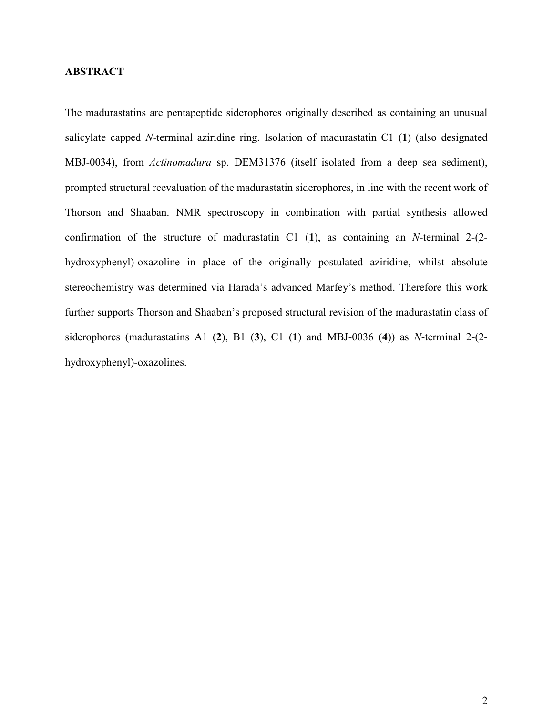#### **ABSTRACT**

The madurastatins are pentapeptide siderophores originally described as containing an unusual salicylate capped *N*-terminal aziridine ring. Isolation of madurastatin C1 (**1**) (also designated MBJ-0034), from *Actinomadura* sp. DEM31376 (itself isolated from a deep sea sediment), prompted structural reevaluation of the madurastatin siderophores, in line with the recent work of Thorson and Shaaban. NMR spectroscopy in combination with partial synthesis allowed confirmation of the structure of madurastatin C1 (**1**), as containing an *N*-terminal 2-(2 hydroxyphenyl)-oxazoline in place of the originally postulated aziridine, whilst absolute stereochemistry was determined via Harada's advanced Marfey's method. Therefore this work further supports Thorson and Shaaban's proposed structural revision of the madurastatin class of siderophores (madurastatins A1 (**2**), B1 (**3**), C1 (**1**) and MBJ-0036 (**4**)) as *N*-terminal 2-(2 hydroxyphenyl)-oxazolines.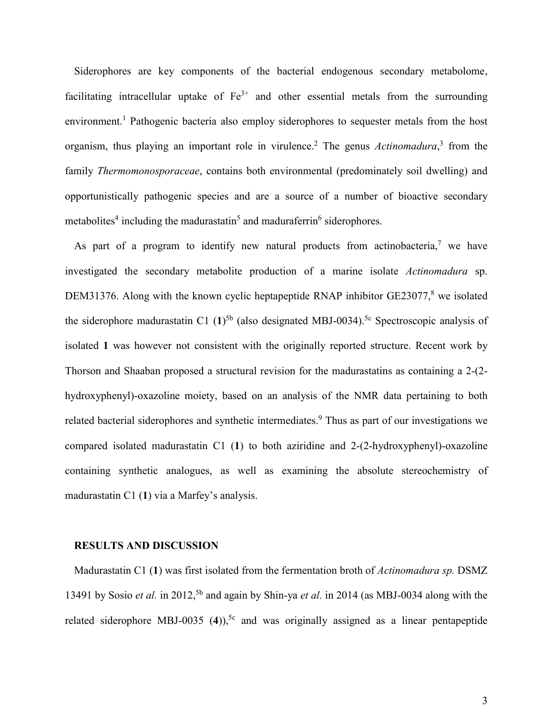Siderophores are key components of the bacterial endogenous secondary metabolome, facilitating intracellular uptake of  $Fe<sup>3+</sup>$  and other essential metals from the surrounding environment.<sup>1</sup> Pathogenic bacteria also employ siderophores to sequester metals from the host organism, thus playing an important role in virulence.<sup>2</sup> The genus *Actinomadura*,<sup>3</sup> from the family *Thermomonosporaceae*, contains both environmental (predominately soil dwelling) and opportunistically pathogenic species and are a source of a number of bioactive secondary metabolites<sup>4</sup> including the madurastatin<sup>5</sup> and maduraferrin<sup>6</sup> siderophores.

As part of a program to identify new natural products from actinobacteria,<sup>7</sup> we have investigated the secondary metabolite production of a marine isolate *Actinomadura* sp. DEM31376. Along with the known cyclic heptapeptide RNAP inhibitor  $GE23077$ <sup>8</sup>, we isolated the siderophore madurastatin C1  $(1)^{5b}$  (also designated MBJ-0034).<sup>5c</sup> Spectroscopic analysis of isolated **1** was however not consistent with the originally reported structure. Recent work by Thorson and Shaaban proposed a structural revision for the madurastatins as containing a 2-(2 hydroxyphenyl)-oxazoline moiety, based on an analysis of the NMR data pertaining to both related bacterial siderophores and synthetic intermediates.<sup>9</sup> Thus as part of our investigations we compared isolated madurastatin C1 (**1**) to both aziridine and 2-(2-hydroxyphenyl)-oxazoline containing synthetic analogues, as well as examining the absolute stereochemistry of madurastatin C1 (**1**) via a Marfey's analysis.

#### **RESULTS AND DISCUSSION**

Madurastatin C1 (**1**) was first isolated from the fermentation broth of *Actinomadura sp.* DSMZ 13491 by Sosio *et al.* in 2012, 5b and again by Shin-ya *et al.* in 2014 (as MBJ-0034 along with the related siderophore MBJ-0035  $(4)$ <sup>5c</sup> and was originally assigned as a linear pentapeptide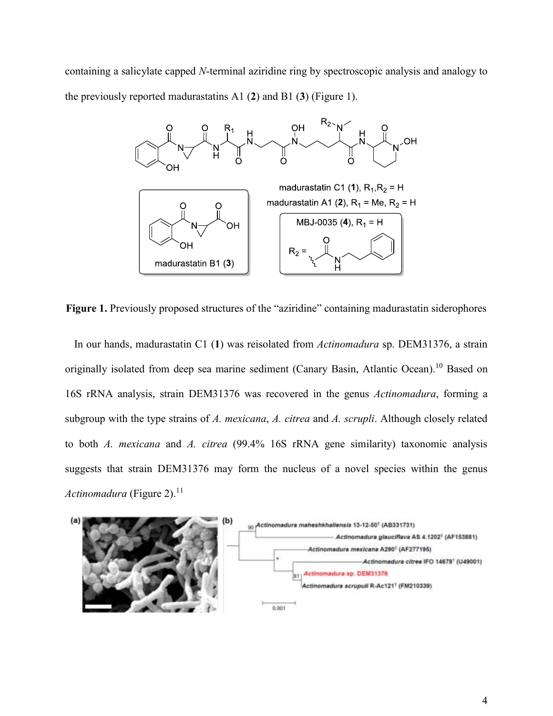containing a salicylate capped *N*-terminal aziridine ring by spectroscopic analysis and analogy to the previously reported madurastatins A1 (**2**) and B1 (**3**) (Figure 1).



**Figure 1.** Previously proposed structures of the "aziridine" containing madurastatin siderophores

In our hands, madurastatin C1 (**1**) was reisolated from *Actinomadura* sp. DEM31376, a strain originally isolated from deep sea marine sediment (Canary Basin, Atlantic Ocean).<sup>10</sup> Based on 16S rRNA analysis, strain DEM31376 was recovered in the genus *Actinomadura*, forming a subgroup with the type strains of *A. mexicana*, *A. citrea* and *A. scrupli*. Although closely related to both *A. mexicana* and *A. citrea* (99.4% 16S rRNA gene similarity) taxonomic analysis suggests that strain DEM31376 may form the nucleus of a novel species within the genus *Actinomadura* (Figure 2). 11

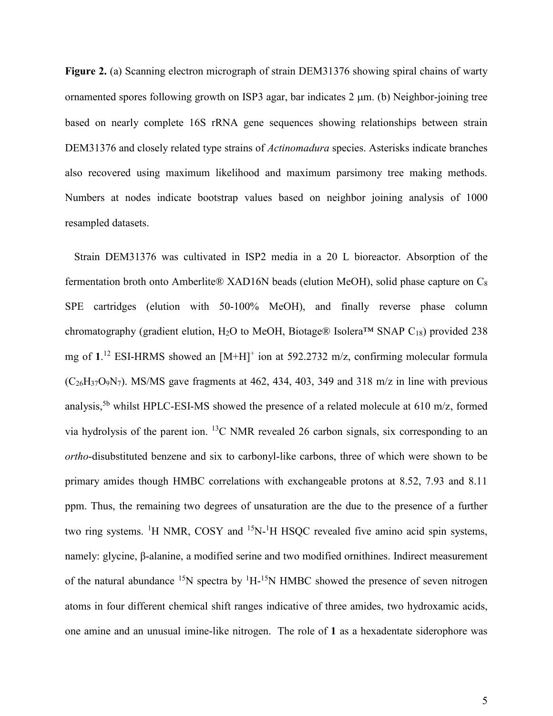**Figure 2.** (a) Scanning electron micrograph of strain DEM31376 showing spiral chains of warty ornamented spores following growth on ISP3 agar, bar indicates  $2 \mu m$ . (b) Neighbor-joining tree based on nearly complete 16S rRNA gene sequences showing relationships between strain DEM31376 and closely related type strains of *Actinomadura* species. Asterisks indicate branches also recovered using maximum likelihood and maximum parsimony tree making methods. Numbers at nodes indicate bootstrap values based on neighbor joining analysis of 1000 resampled datasets.

Strain DEM31376 was cultivated in ISP2 media in a 20 L bioreactor. Absorption of the fermentation broth onto Amberlite® XAD16N beads (elution MeOH), solid phase capture on  $C_8$ SPE cartridges (elution with 50-100% MeOH), and finally reverse phase column chromatography (gradient elution, H<sub>2</sub>O to MeOH, Biotage® Isolera<sup>TM</sup> SNAP C<sub>18</sub>) provided 238 mg of 1.<sup>12</sup> ESI-HRMS showed an [M+H]<sup>+</sup> ion at 592.2732 m/z, confirming molecular formula  $(C_{26}H_{37}O_9N_7)$ . MS/MS gave fragments at 462, 434, 403, 349 and 318 m/z in line with previous analysis,<sup>5b</sup> whilst HPLC-ESI-MS showed the presence of a related molecule at 610 m/z, formed via hydrolysis of the parent ion. <sup>13</sup>C NMR revealed 26 carbon signals, six corresponding to an *ortho*-disubstituted benzene and six to carbonyl-like carbons, three of which were shown to be primary amides though HMBC correlations with exchangeable protons at 8.52, 7.93 and 8.11 ppm. Thus, the remaining two degrees of unsaturation are the due to the presence of a further two ring systems. <sup>1</sup>H NMR, COSY and <sup>15</sup>N-<sup>1</sup>H HSQC revealed five amino acid spin systems, namely: glycine, β-alanine, a modified serine and two modified ornithines. Indirect measurement of the natural abundance  $^{15}N$  spectra by  $^{1}H^{-15}N$  HMBC showed the presence of seven nitrogen atoms in four different chemical shift ranges indicative of three amides, two hydroxamic acids, one amine and an unusual imine-like nitrogen. The role of **1** as a hexadentate siderophore was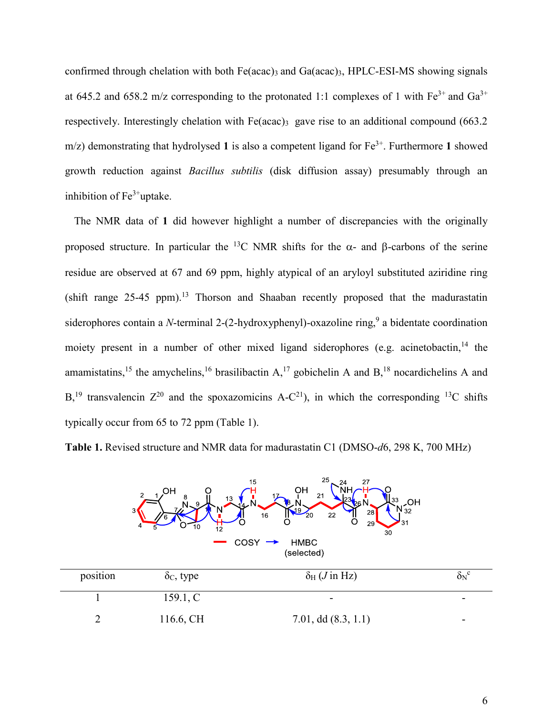confirmed through chelation with both Fe(acac)<sub>3</sub> and Ga(acac)<sub>3</sub>, HPLC-ESI-MS showing signals at 645.2 and 658.2 m/z corresponding to the protonated 1:1 complexes of 1 with  $Fe^{3+}$  and  $Ga^{3+}$ respectively. Interestingly chelation with  $Fe (acac)$ <sup>3</sup> gave rise to an additional compound (663.2)  $m/z$ ) demonstrating that hydrolysed 1 is also a competent ligand for  $Fe<sup>3+</sup>$ . Furthermore 1 showed growth reduction against *Bacillus subtilis* (disk diffusion assay) presumably through an inhibition of  $Fe<sup>3+</sup>$ uptake.

The NMR data of **1** did however highlight a number of discrepancies with the originally proposed structure. In particular the <sup>13</sup>C NMR shifts for the  $\alpha$ - and  $\beta$ -carbons of the serine residue are observed at 67 and 69 ppm, highly atypical of an aryloyl substituted aziridine ring (shift range 25-45 ppm). <sup>13</sup> Thorson and Shaaban recently proposed that the madurastatin siderophores contain a *N*-terminal 2-(2-hydroxyphenyl)-oxazoline ring,<sup>9</sup> a bidentate coordination moiety present in a number of other mixed ligand siderophores (e.g. acinetobactin,<sup>14</sup> the amamistatins,<sup>15</sup> the amychelins,<sup>16</sup> brasilibactin  $A$ ,<sup>17</sup> gobichelin A and  $B$ ,<sup>18</sup> nocardichelins A and B,<sup>19</sup> transvalencin  $Z^{20}$  and the spoxazomicins A-C<sup>21</sup>), in which the corresponding <sup>13</sup>C shifts typically occur from 65 to 72 ppm (Table 1).

**Table 1.** Revised structure and NMR data for madurastatin C1 (DMSO-*d*6, 298 K, 700 MHz)



2 116.6, CH 7.01, dd (8.3, 1.1)

|   |                | ۰.           |  |
|---|----------------|--------------|--|
|   | ۰.<br>۰.<br>P. |              |  |
|   | ٠<br>n.        |              |  |
| t |                | č            |  |
| w |                | I<br>۰.<br>٠ |  |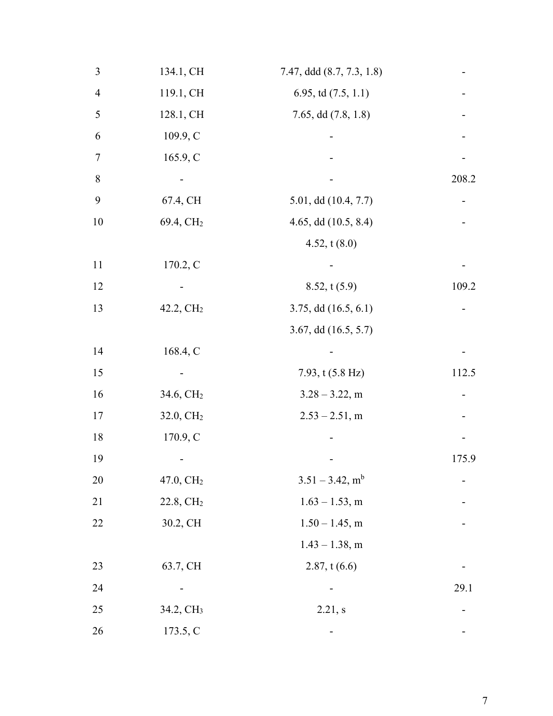| $\mathfrak{Z}$ | 134.1, CH             | 7.47, ddd (8.7, 7.3, 1.8)      |       |
|----------------|-----------------------|--------------------------------|-------|
| $\overline{4}$ | 119.1, CH             | 6.95, td $(7.5, 1.1)$          |       |
| 5              | 128.1, CH             | 7.65, dd $(7.8, 1.8)$          |       |
| 6              | 109.9, C              |                                |       |
| $\tau$         | 165.9, C              |                                |       |
| $\, 8$         |                       |                                | 208.2 |
| 9              | 67.4, CH              | 5.01, dd (10.4, 7.7)           |       |
| 10             | 69.4, CH <sub>2</sub> | 4.65, dd (10.5, 8.4)           |       |
|                |                       | 4.52, $t(8.0)$                 |       |
| 11             | 170.2, C              |                                |       |
| 12             |                       | 8.52, t(5.9)                   | 109.2 |
| 13             | 42.2, CH <sub>2</sub> | $3.75$ , dd $(16.5, 6.1)$      |       |
|                |                       | 3.67, dd $(16.5, 5.7)$         |       |
| 14             | 168.4, C              |                                |       |
| 15             |                       | 7.93, $t(5.8 Hz)$              | 112.5 |
| 16             | 34.6, CH <sub>2</sub> | $3.28 - 3.22$ , m              |       |
| 17             | 32.0, CH <sub>2</sub> | $2.53 - 2.51$ , m              |       |
| 18             | 170.9, C              |                                |       |
| 19             |                       |                                | 175.9 |
| 20             | 47.0, CH <sub>2</sub> | $3.51 - 3.42$ , m <sup>b</sup> |       |
| 21             | 22.8, CH <sub>2</sub> | $1.63 - 1.53$ , m              |       |
| 22             | 30.2, CH              | $1.50 - 1.45$ , m              |       |
|                |                       | $1.43 - 1.38$ , m              |       |
| 23             | 63.7, CH              | 2.87, t(6.6)                   |       |
| 24             |                       |                                | 29.1  |
| 25             | 34.2, CH <sub>3</sub> | 2.21, s                        |       |
| 26             | 173.5, C              |                                |       |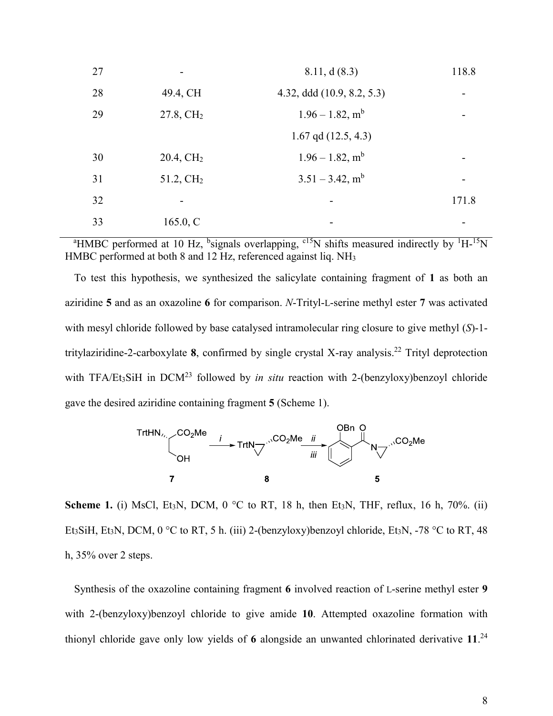| 27 |                       | 8.11, d(8.3)                   | 118.8 |
|----|-----------------------|--------------------------------|-------|
| 28 | 49.4, CH              | 4.32, ddd (10.9, 8.2, 5.3)     |       |
| 29 | $27.8, \mathrm{CH}_2$ | $1.96 - 1.82$ , m <sup>b</sup> |       |
|    |                       | $1.67$ qd $(12.5, 4.3)$        |       |
| 30 | $20.4, \mathrm{CH}_2$ | $1.96 - 1.82$ , m <sup>b</sup> |       |
| 31 | 51.2, CH <sub>2</sub> | $3.51 - 3.42$ , m <sup>b</sup> |       |
| 32 |                       |                                | 171.8 |
| 33 | 165.0, C              |                                |       |

<sup>a</sup>HMBC performed at 10 Hz, <sup>b</sup>signals overlapping, <sup>c15</sup>N shifts measured indirectly by <sup>1</sup>H-<sup>15</sup>N HMBC performed at both 8 and 12 Hz, referenced against liq. NH<sub>3</sub>

To test this hypothesis, we synthesized the salicylate containing fragment of **1** as both an aziridine **5** and as an oxazoline **6** for comparison. *N*-Trityl-L-serine methyl ester **7** was activated with mesyl chloride followed by base catalysed intramolecular ring closure to give methyl (*S*)-1 tritylaziridine-2-carboxylate **8**, confirmed by single crystal X-ray analysis. <sup>22</sup> Trityl deprotection with TFA/Et<sub>3</sub>SiH in DCM<sup>23</sup> followed by *in situ* reaction with 2-(benzyloxy)benzoyl chloride gave the desired aziridine containing fragment **5** (Scheme 1).



**Scheme 1.** (i) MsCl, Et<sub>3</sub>N, DCM, 0  $^{\circ}$ C to RT, 18 h, then Et<sub>3</sub>N, THF, reflux, 16 h, 70%. (ii) Et<sub>3</sub>SiH, Et<sub>3</sub>N, DCM, 0 °C to RT, 5 h. (iii) 2-(benzyloxy)benzoyl chloride, Et<sub>3</sub>N, -78 °C to RT, 48 h, 35% over 2 steps.

Synthesis of the oxazoline containing fragment **6** involved reaction of L-serine methyl ester **9** with 2-(benzyloxy)benzoyl chloride to give amide **10**. Attempted oxazoline formation with thionyl chloride gave only low yields of **6** alongside an unwanted chlorinated derivative **11**. 24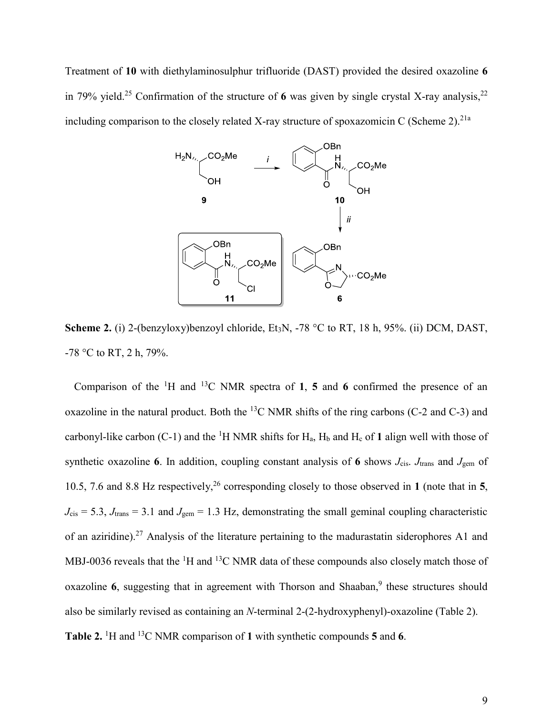Treatment of **10** with diethylaminosulphur trifluoride (DAST) provided the desired oxazoline **6** in 79% yield.<sup>25</sup> Confirmation of the structure of 6 was given by single crystal X-ray analysis,<sup>22</sup> including comparison to the closely related X-ray structure of spoxazomicin C (Scheme 2).<sup>21a</sup>



**Scheme 2.** (i) 2-(benzyloxy)benzoyl chloride, Et<sub>3</sub>N, -78 °C to RT, 18 h, 95%. (ii) DCM, DAST, -78 °C to RT, 2 h, 79%.

Comparison of the <sup>1</sup>H and <sup>13</sup>C NMR spectra of **1**, **5** and **6** confirmed the presence of an oxazoline in the natural product. Both the  $^{13}$ C NMR shifts of the ring carbons (C-2 and C-3) and carbonyl-like carbon  $(C-1)$  and the <sup>1</sup>H NMR shifts for  $H_a$ ,  $H_b$  and  $H_c$  of 1 align well with those of synthetic oxazoline **6**. In addition, coupling constant analysis of **6** shows *J*cis. *J*trans and *J*gem of 10.5, 7.6 and 8.8 Hz respectively,<sup>26</sup> corresponding closely to those observed in **1** (note that in **5**,  $J_{\text{cis}} = 5.3$ ,  $J_{\text{trans}} = 3.1$  and  $J_{\text{gem}} = 1.3$  Hz, demonstrating the small geminal coupling characteristic of an aziridine).<sup>27</sup> Analysis of the literature pertaining to the madurastatin siderophores A1 and MBJ-0036 reveals that the <sup>1</sup>H and <sup>13</sup>C NMR data of these compounds also closely match those of oxazoline 6, suggesting that in agreement with Thorson and Shaaban,<sup>9</sup> these structures should also be similarly revised as containing an *N*-terminal 2-(2-hydroxyphenyl)-oxazoline (Table 2). **Table 2.**  <sup>1</sup>H and <sup>13</sup>C NMR comparison of **1** with synthetic compounds **5** and **6**.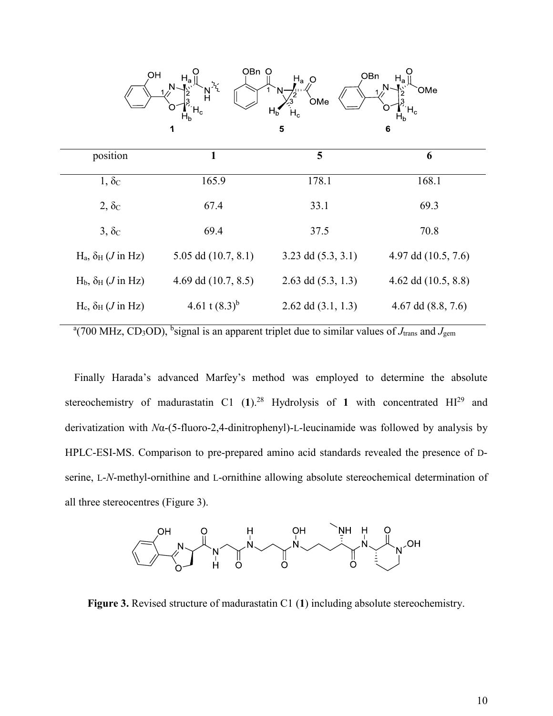

| 1                       | 5                      | 6                     |
|-------------------------|------------------------|-----------------------|
| 165.9                   | 178.1                  | 168.1                 |
| 67.4                    | 33.1                   | 69.3                  |
| 69.4                    | 37.5                   | 70.8                  |
| $5.05$ dd $(10.7, 8.1)$ | $3.23$ dd $(5.3, 3.1)$ | 4.97 dd $(10.5, 7.6)$ |
| 4.69 dd $(10.7, 8.5)$   | 2.63 dd $(5.3, 1.3)$   | 4.62 dd $(10.5, 8.8)$ |
| 4.61 t $(8.3)^b$        | 2.62 dd $(3.1, 1.3)$   | 4.67 dd $(8.8, 7.6)$  |
|                         |                        |                       |

<sup>a</sup>(700 MHz, CD<sub>3</sub>OD), <sup>b</sup>signal is an apparent triplet due to similar values of *J*<sub>trans</sub> and *J*<sub>gem</sub>

Finally Harada's advanced Marfey's method was employed to determine the absolute stereochemistry of madurastatin C1  $(1)$ .<sup>28</sup> Hydrolysis of 1 with concentrated  $HI<sup>29</sup>$  and derivatization with *N*α-(5-fluoro-2,4-dinitrophenyl)-L-leucinamide was followed by analysis by HPLC-ESI-MS. Comparison to pre-prepared amino acid standards revealed the presence of Dserine, L-*N*-methyl-ornithine and L-ornithine allowing absolute stereochemical determination of all three stereocentres (Figure 3).



**Figure 3.** Revised structure of madurastatin C1 (**1**) including absolute stereochemistry.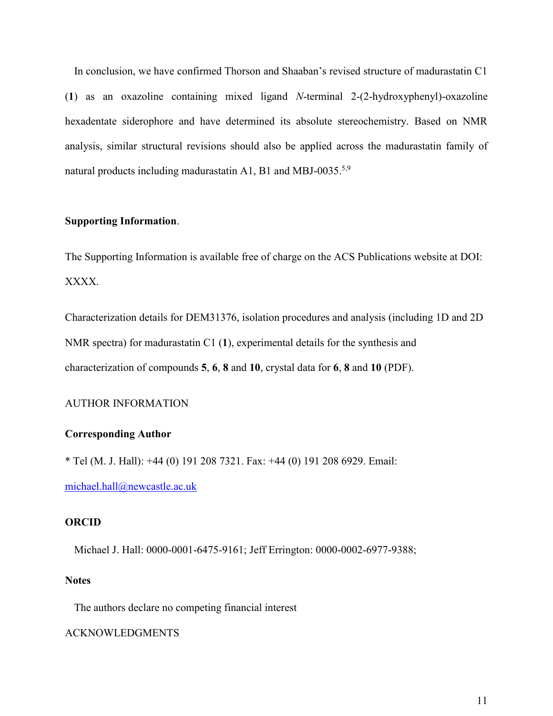In conclusion, we have confirmed Thorson and Shaaban's revised structure of madurastatin C1 (**1**) as an oxazoline containing mixed ligand *N*-terminal 2-(2-hydroxyphenyl)-oxazoline hexadentate siderophore and have determined its absolute stereochemistry. Based on NMR analysis, similar structural revisions should also be applied across the madurastatin family of natural products including madurastatin A1, B1 and MBJ-0035.<sup>5,9</sup>

# **Supporting Information**.

The Supporting Information is available free of charge on the ACS Publications website at DOI: XXXX.

Characterization details for DEM31376, isolation procedures and analysis (including 1D and 2D NMR spectra) for madurastatin C1 (**1**), experimental details for the synthesis and characterization of compounds **5**, **6**, **8** and **10**, crystal data for **6**, **8** and **10** (PDF).

## AUTHOR INFORMATION

## **Corresponding Author**

\* Tel (M. J. Hall): +44 (0) 191 208 7321. Fax: +44 (0) 191 208 6929. Email: [michael.hall@newcastle.ac.uk](mailto:michael.hall@newcastle.ac.uk)

## **ORCID**

Michael J. Hall: 0000-0001-6475-9161; Jeff Errington: 0000-0002-6977-9388;

#### **Notes**

The authors declare no competing financial interest

#### ACKNOWLEDGMENTS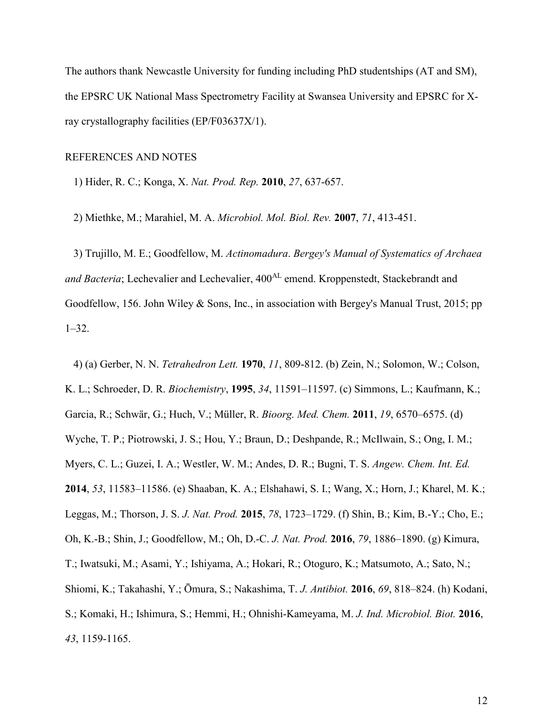The authors thank Newcastle University for funding including PhD studentships (AT and SM), the EPSRC UK National Mass Spectrometry Facility at Swansea University and EPSRC for Xray crystallography facilities (EP/F03637X/1).

#### REFERENCES AND NOTES

1) Hider, R. C.; Konga, X. *Nat. Prod. Rep.* **2010**, *27*, 637-657.

2) Miethke, M.; Marahiel, M. A. *Microbiol. Mol. Biol. Rev.* **2007**, *71*, 413-451.

3) Trujillo, M. E.; Goodfellow, M. *Actinomadura*. *Bergey's Manual of Systematics of Archaea*  and Bacteria; Lechevalier and Lechevalier, 400<sup>AL</sup> emend. Kroppenstedt, Stackebrandt and Goodfellow, 156. John Wiley & Sons, Inc., in association with Bergey's Manual Trust, 2015; pp 1–32.

4) (a) Gerber, N. N. *Tetrahedron Lett.* **1970**, *11*, 809-812. (b) Zein, N.; Solomon, W.; Colson, K. L.; Schroeder, D. R. *Biochemistry*, **1995**, *34*, 11591–11597. (c) Simmons, L.; Kaufmann, K.; Garcia, R.; Schwär, G.; Huch, V.; Müller, R. *Bioorg. Med. Chem.* **2011**, *19*, 6570–6575. (d) Wyche, T. P.; Piotrowski, J. S.; Hou, Y.; Braun, D.; Deshpande, R.; McIlwain, S.; Ong, I. M.; Myers, C. L.; Guzei, I. A.; Westler, W. M.; Andes, D. R.; Bugni, T. S. *Angew. Chem. Int. Ed.* **2014**, *53*, 11583–11586. (e) Shaaban, K. A.; Elshahawi, S. I.; Wang, X.; Horn, J.; Kharel, M. K.; Leggas, M.; Thorson, J. S. *J. Nat. Prod.* **2015**, *78*, 1723–1729. (f) Shin, B.; Kim, B.-Y.; Cho, E.; Oh, K.-B.; Shin, J.; Goodfellow, M.; Oh, D.-C. *J. Nat. Prod.* **2016**, *79*, 1886–1890. (g) Kimura, T.; Iwatsuki, M.; Asami, Y.; Ishiyama, A.; Hokari, R.; Otoguro, K.; Matsumoto, A.; Sato, N.; Shiomi, K.; Takahashi, Y.; Ōmura, S.; Nakashima, T. *J. Antibiot.* **2016**, *69*, 818–824. (h) Kodani, S.; Komaki, H.; Ishimura, S.; Hemmi, H.; Ohnishi-Kameyama, M. *J. Ind. Microbiol. Biot.* **2016**, *43*, 1159-1165.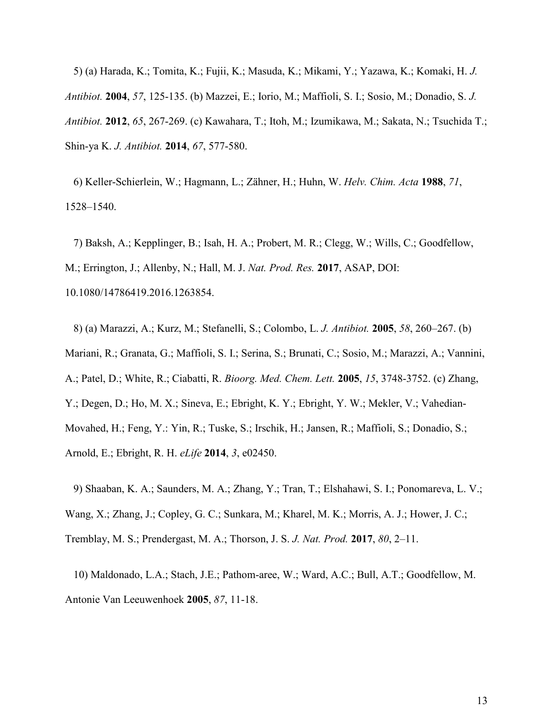5) (a) Harada, K.; Tomita, K.; Fujii, K.; Masuda, K.; Mikami, Y.; Yazawa, K.; Komaki, H. *J. Antibiot.* **2004**, *57*, 125-135. (b) Mazzei, E.; Iorio, M.; Maffioli, S. I.; Sosio, M.; Donadio, S. *J. Antibiot.* **2012**, *65*, 267-269. (c) Kawahara, T.; Itoh, M.; Izumikawa, M.; Sakata, N.; Tsuchida T.; Shin-ya K. *J. Antibiot.* **2014**, *67*, 577-580.

6) Keller-Schierlein, W.; Hagmann, L.; Zähner, H.; Huhn, W. *Helv. Chim. Acta* **1988**, *71*, 1528–1540.

7) Baksh, A.; Kepplinger, B.; Isah, H. A.; Probert, M. R.; Clegg, W.; Wills, C.; Goodfellow, M.; Errington, J.; Allenby, N.; Hall, M. J. *Nat. Prod. Res.* **2017**, ASAP, DOI: 10.1080/14786419.2016.1263854.

8) (a) Marazzi, A.; Kurz, M.; Stefanelli, S.; Colombo, L. *J. Antibiot.* **2005**, *58*, 260–267. (b) Mariani, R.; Granata, G.; Maffioli, S. I.; Serina, S.; Brunati, C.; Sosio, M.; Marazzi, A.; Vannini, A.; Patel, D.; White, R.; Ciabatti, R. *Bioorg. Med. Chem. Lett.* **2005**, *15*, 3748-3752. (c) Zhang, Y.; Degen, D.; Ho, M. X.; Sineva, E.; Ebright, K. Y.; Ebright, Y. W.; Mekler, V.; Vahedian-Movahed, H.; Feng, Y.: Yin, R.; Tuske, S.; Irschik, H.; Jansen, R.; Maffioli, S.; Donadio, S.; Arnold, E.; Ebright, R. H. *eLife* **2014**, *3*, e02450.

9) Shaaban, K. A.; Saunders, M. A.; Zhang, Y.; Tran, T.; Elshahawi, S. I.; Ponomareva, L. V.; Wang, X.; Zhang, J.; Copley, G. C.; Sunkara, M.; Kharel, M. K.; Morris, A. J.; Hower, J. C.; Tremblay, M. S.; Prendergast, M. A.; Thorson, J. S. *J. Nat. Prod.* **2017**, *80*, 2–11.

10) Maldonado, L.A.; Stach, J.E.; Pathom-aree, W.; Ward, A.C.; Bull, A.T.; Goodfellow, M. Antonie Van Leeuwenhoek **2005**, *87*, 11-18.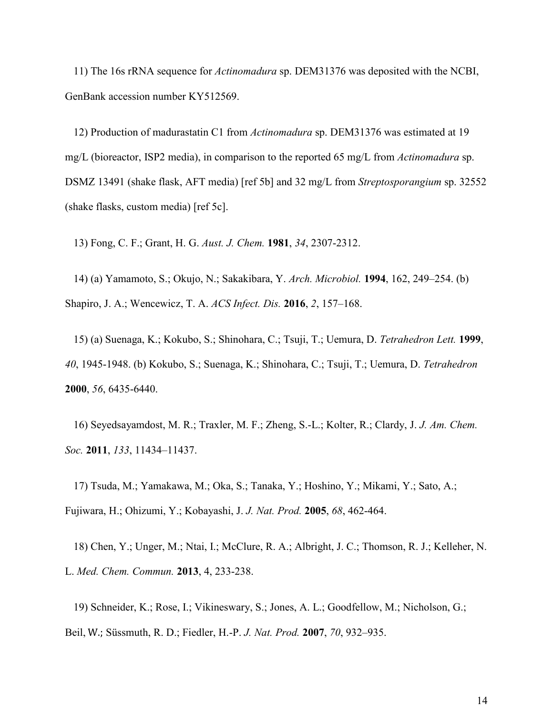11) The 16s rRNA sequence for *Actinomadura* sp. DEM31376 was deposited with the NCBI, GenBank accession number KY512569.

12) Production of madurastatin C1 from *Actinomadura* sp. DEM31376 was estimated at 19 mg/L (bioreactor, ISP2 media), in comparison to the reported 65 mg/L from *Actinomadura* sp. DSMZ 13491 (shake flask, AFT media) [ref 5b] and 32 mg/L from *Streptosporangium* sp. 32552 (shake flasks, custom media) [ref 5c].

13) Fong, C. F.; Grant, H. G. *Aust. J. Chem.* **1981**, *34*, 2307-2312.

14) (a) Yamamoto, S.; Okujo, N.; Sakakibara, Y. *Arch. Microbiol.* **1994**, 162, 249–254. (b) Shapiro, J. A.; Wencewicz, T. A. *ACS Infect. Dis.* **2016**, *2*, 157–168.

15) (a) Suenaga, K.; Kokubo, S.; Shinohara, C.; Tsuji, T.; Uemura, D. *Tetrahedron Lett.* **1999**, *40*, 1945-1948. (b) Kokubo, S.; Suenaga, K.; Shinohara, C.; Tsuji, T.; Uemura, D. *Tetrahedron* **2000**, *56*, 6435-6440.

16) Seyedsayamdost, M. R.; Traxler, M. F.; Zheng, S.-L.; Kolter, R.; Clardy, J. *J. Am. Chem. Soc.* **2011**, *133*, 11434–11437.

17) Tsuda, M.; Yamakawa, M.; Oka, S.; Tanaka, Y.; Hoshino, Y.; Mikami, Y.; Sato, A.; Fujiwara, H.; Ohizumi, Y.; Kobayashi, J. *J. Nat. Prod.* **2005**, *68*, 462-464.

18) Chen, Y.; Unger, M.; Ntai, I.; McClure, R. A.; Albright, J. C.; Thomson, R. J.; Kelleher, N. L. *Med. Chem. Commun.* **2013**, 4, 233-238.

19) Schneider, K.; Rose, I.; Vikineswary, S.; Jones, A. L.; Goodfellow, M.; Nicholson, G.; Beil, W.; Süssmuth, R. D.; Fiedler, H.-P. *J. Nat. Prod.* **2007**, *70*, 932–935.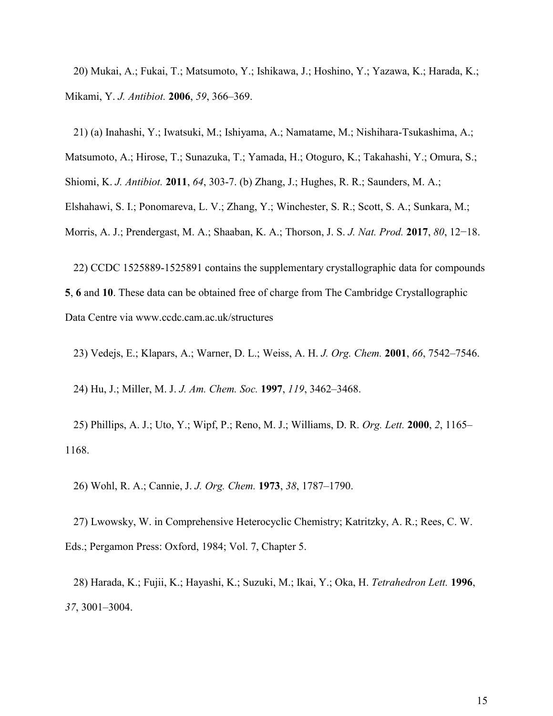20) Mukai, A.; Fukai, T.; Matsumoto, Y.; Ishikawa, J.; Hoshino, Y.; Yazawa, K.; Harada, K.; Mikami, Y. *J. Antibiot.* **2006**, *59*, 366–369.

21) (a) Inahashi, Y.; Iwatsuki, M.; Ishiyama, A.; Namatame, M.; Nishihara-Tsukashima, A.;

Matsumoto, A.; Hirose, T.; Sunazuka, T.; Yamada, H.; Otoguro, K.; Takahashi, Y.; Omura, S.;

Shiomi, K. *J. Antibiot.* **2011**, *64*, 303-7. (b) Zhang, J.; Hughes, R. R.; Saunders, M. A.;

Elshahawi, S. I.; Ponomareva, L. V.; Zhang, Y.; Winchester, S. R.; Scott, S. A.; Sunkara, M.;

Morris, A. J.; Prendergast, M. A.; Shaaban, K. A.; Thorson, J. S. *J. Nat. Prod.* **2017**, *80*, 12−18.

22) CCDC 1525889-1525891 contains the supplementary crystallographic data for compounds **5**, **6** and **10**. These data can be obtained free of charge from The Cambridge Crystallographic Data Centre via www.ccdc.cam.ac.uk/structures

23) Vedejs, E.; Klapars, A.; Warner, D. L.; Weiss, A. H. *J. Org. Chem.* **2001**, *66*, 7542–7546.

24) Hu, J.; Miller, M. J. *J. Am. Chem. Soc.* **1997**, *119*, 3462–3468.

25) Phillips, A. J.; Uto, Y.; Wipf, P.; Reno, M. J.; Williams, D. R. *Org. Lett.* **2000**, *2*, 1165– 1168.

26) Wohl, R. A.; Cannie, J. *J. Org. Chem.* **1973**, *38*, 1787–1790.

27) Lwowsky, W. in Comprehensive Heterocyclic Chemistry; Katritzky, A. R.; Rees, C. W. Eds.; Pergamon Press: Oxford, 1984; Vol. 7, Chapter 5.

28) Harada, K.; Fujii, K.; Hayashi, K.; Suzuki, M.; Ikai, Y.; Oka, H. *Tetrahedron Lett.* **1996**, *37*, 3001–3004.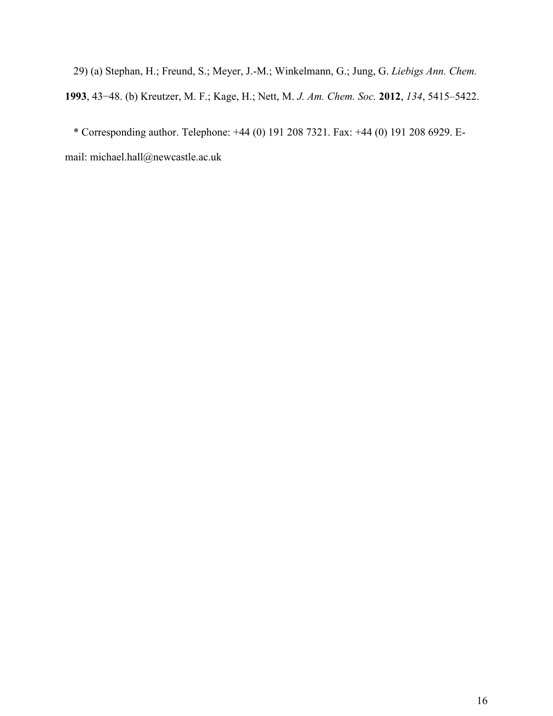29) (a) Stephan, H.; Freund, S.; Meyer, J.-M.; Winkelmann, G.; Jung, G. *Liebigs Ann. Chem.* **1993**, 43−48. (b) Kreutzer, M. F.; Kage, H.; Nett, M. *J. Am. Chem. Soc.* **2012**, *134*, 5415–5422.

\* Corresponding author. Telephone: +44 (0) 191 208 7321. Fax: +44 (0) 191 208 6929. Email: michael.hall@newcastle.ac.uk